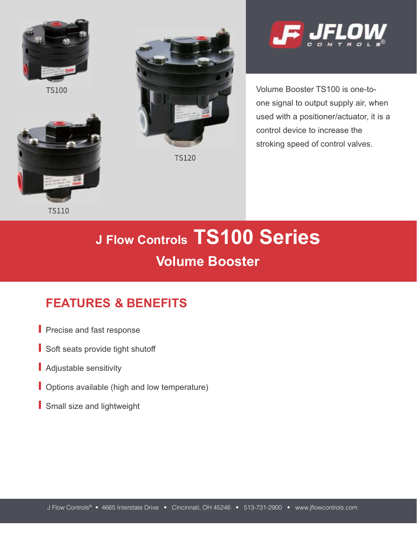

**TS100** 



**TS110** 



**TS120** 



Volume Booster TS100 is one-toone signal to output supply air, when used with a positioner/actuator, it is a control device to increase the stroking speed of control valves.

# **J Flow Controls TS100 Series Volume Booster**

# **FEATURES & BENEFITS**

- **Precise and fast response**
- Soft seats provide tight shutoff
- Adjustable sensitivity
- **Options available (high and low temperature)**
- Small size and lightweight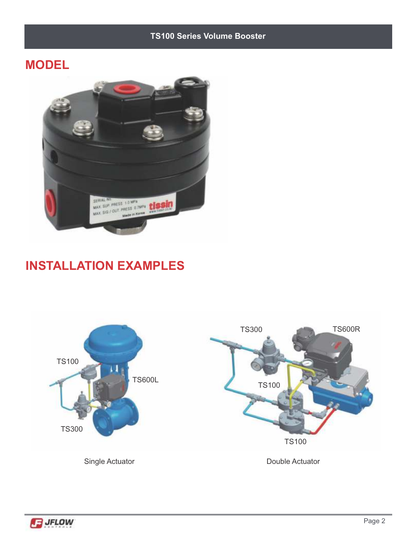#### **TS100 Series Volume Booster**

## **MODEL**



## **INSTALLATION EXAMPLES**



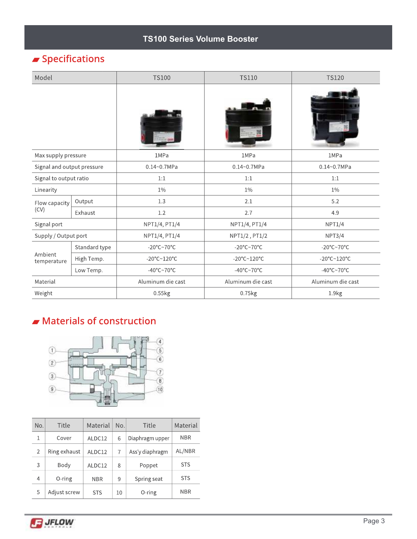#### **TS100 Series Volume Booster**

## $\blacktriangleright$  Specifications

| Model                      |               | <b>TS100</b>                           | <b>TS110</b>                    | <b>TS120</b>                    |  |
|----------------------------|---------------|----------------------------------------|---------------------------------|---------------------------------|--|
|                            |               |                                        |                                 |                                 |  |
| Max supply pressure        |               | 1MPa                                   | 1MPa                            | 1MPa                            |  |
| Signal and output pressure |               | $0.14 - 0.7 MPa$                       | $0.14 - 0.7 MPa$                | $0.14 - 0.7 MPa$                |  |
| Signal to output ratio     |               | 1:1                                    | 1:1                             | 1:1                             |  |
| Linearity                  |               | $1\%$                                  | $1\%$                           | $1\%$                           |  |
| Flow capacity<br>(CV)      | Output        | 1.3                                    | 2.1                             | 5.2                             |  |
|                            | Exhaust       | 1.2                                    | 2.7                             | 4.9                             |  |
| Signal port                |               | NPT1/4, PT1/4                          | NPT1/4, PT1/4                   | NPT1/4                          |  |
| Supply / Output port       |               | NPT1/4, PT1/4                          | NPT1/2, PT1/2                   | NPT3/4                          |  |
| Ambient<br>temperature     | Standard type | -20 $\textdegree$ C~70 $\textdegree$ C | $-20^{\circ}$ C~70 $^{\circ}$ C | $-20^{\circ}$ C~70 $^{\circ}$ C |  |
|                            | High Temp.    | -20°C~120°C                            | -20°C~120°C                     | -20°C~120°C                     |  |
|                            | Low Temp.     | -40 $\degree$ C~70 $\degree$ C         | -40 $\degree$ C~70 $\degree$ C  | -40 $\degree$ C~70 $\degree$ C  |  |
| Material                   |               | Aluminum die cast                      | Aluminum die cast               | Aluminum die cast               |  |
| Weight                     |               | 0.55kg                                 | 0.75kg                          | 1.9kg                           |  |

## $\blacktriangleright$  Materials of construction



| No.            | Title        | Material   | No. | Title           | Material   |
|----------------|--------------|------------|-----|-----------------|------------|
| 1              | Cover        | ALDC12     | 6   | Diaphragm upper | <b>NBR</b> |
| $\overline{2}$ | Ring exhaust | ALDC12     |     | Ass'y diaphragm | AL/NBR     |
| 3              | Body         | ALDC12     | 8   | Poppet          | <b>STS</b> |
| 4              | 0-ring       | <b>NBR</b> | 9   | Spring seat     | <b>STS</b> |
| 5              | Adjust screw | <b>STS</b> | 10  | 0-ring          | <b>NBR</b> |